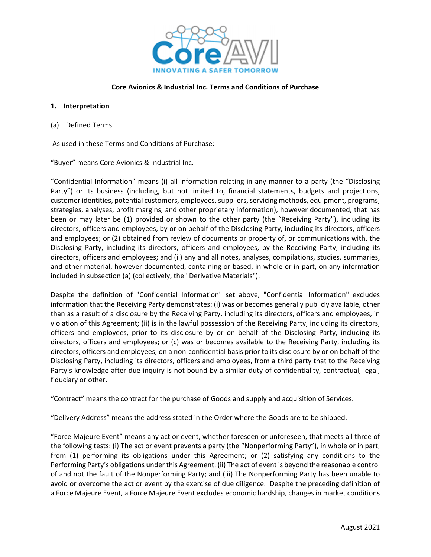

#### **Core Avionics & Industrial Inc. Terms and Conditions of Purchase**

#### **1. Interpretation**

(a) Defined Terms

As used in these Terms and Conditions of Purchase:

"Buyer" means Core Avionics & Industrial Inc.

"Confidential Information" means (i) all information relating in any manner to a party (the "Disclosing Party") or its business (including, but not limited to, financial statements, budgets and projections, customer identities, potential customers, employees, suppliers, servicing methods, equipment, programs, strategies, analyses, profit margins, and other proprietary information), however documented, that has been or may later be (1) provided or shown to the other party (the "Receiving Party"), including its directors, officers and employees, by or on behalf of the Disclosing Party, including its directors, officers and employees; or (2) obtained from review of documents or property of, or communications with, the Disclosing Party, including its directors, officers and employees, by the Receiving Party, including its directors, officers and employees; and (ii) any and all notes, analyses, compilations, studies, summaries, and other material, however documented, containing or based, in whole or in part, on any information included in subsection (a) (collectively, the "Derivative Materials").

Despite the definition of "Confidential Information" set above, "Confidential Information" excludes information that the Receiving Party demonstrates: (i) was or becomes generally publicly available, other than as a result of a disclosure by the Receiving Party, including its directors, officers and employees, in violation of this Agreement; (ii) is in the lawful possession of the Receiving Party, including its directors, officers and employees, prior to its disclosure by or on behalf of the Disclosing Party, including its directors, officers and employees; or (c) was or becomes available to the Receiving Party, including its directors, officers and employees, on a non‐confidential basis prior to its disclosure by or on behalf of the Disclosing Party, including its directors, officers and employees, from a third party that to the Receiving Party's knowledge after due inquiry is not bound by a similar duty of confidentiality, contractual, legal, fiduciary or other.

"Contract" means the contract for the purchase of Goods and supply and acquisition of Services.

"Delivery Address" means the address stated in the Order where the Goods are to be shipped.

"Force Majeure Event" means any act or event, whether foreseen or unforeseen, that meets all three of the following tests: (i) The act or event prevents a party (the "Nonperforming Party"), in whole or in part, from (1) performing its obligations under this Agreement; or (2) satisfying any conditions to the Performing Party's obligations under this Agreement. (ii) The act of event is beyond the reasonable control of and not the fault of the Nonperforming Party; and (iii) The Nonperforming Party has been unable to avoid or overcome the act or event by the exercise of due diligence. Despite the preceding definition of a Force Majeure Event, a Force Majeure Event excludes economic hardship, changes in market conditions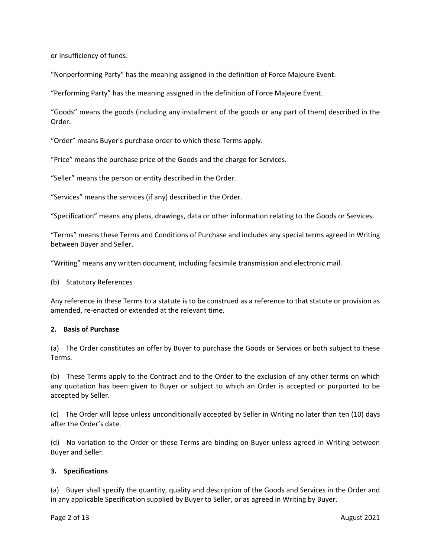or insufficiency of funds.

"Nonperforming Party" has the meaning assigned in the definition of Force Majeure Event.

"Performing Party" has the meaning assigned in the definition of Force Majeure Event.

"Goods" means the goods (including any installment of the goods or any part of them) described in the Order.

"Order" means Buyer's purchase order to which these Terms apply.

"Price" means the purchase price of the Goods and the charge for Services.

"Seller" means the person or entity described in the Order.

"Services" means the services (if any) described in the Order.

"Specification" means any plans, drawings, data or other information relating to the Goods or Services.

"Terms" means these Terms and Conditions of Purchase and includes any special terms agreed in Writing between Buyer and Seller.

"Writing" means any written document, including facsimile transmission and electronic mail.

#### (b) Statutory References

Any reference in these Terms to a statute is to be construed as a reference to that statute or provision as amended, re‐enacted or extended at the relevant time.

#### **2. Basis of Purchase**

(a) The Order constitutes an offer by Buyer to purchase the Goods or Services or both subject to these Terms.

(b) These Terms apply to the Contract and to the Order to the exclusion of any other terms on which any quotation has been given to Buyer or subject to which an Order is accepted or purported to be accepted by Seller.

(c) The Order will lapse unless unconditionally accepted by Seller in Writing no later than ten (10) days after the Order's date.

(d) No variation to the Order or these Terms are binding on Buyer unless agreed in Writing between Buyer and Seller.

#### **3. Specifications**

(a) Buyer shall specify the quantity, quality and description of the Goods and Services in the Order and in any applicable Specification supplied by Buyer to Seller, or as agreed in Writing by Buyer.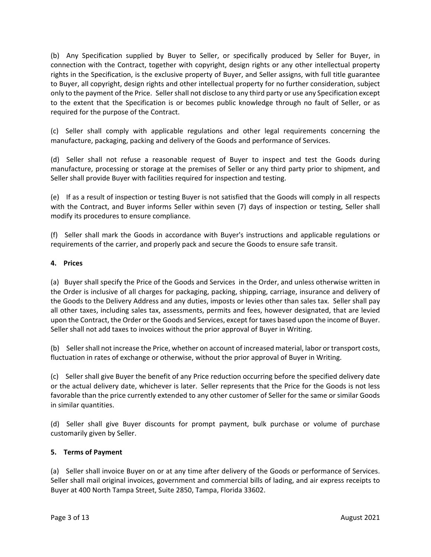(b) Any Specification supplied by Buyer to Seller, or specifically produced by Seller for Buyer, in connection with the Contract, together with copyright, design rights or any other intellectual property rights in the Specification, is the exclusive property of Buyer, and Seller assigns, with full title guarantee to Buyer, all copyright, design rights and other intellectual property for no further consideration, subject only to the payment of the Price. Sellershall not disclose to any third party or use any Specification except to the extent that the Specification is or becomes public knowledge through no fault of Seller, or as required for the purpose of the Contract.

(c) Seller shall comply with applicable regulations and other legal requirements concerning the manufacture, packaging, packing and delivery of the Goods and performance of Services.

(d) Seller shall not refuse a reasonable request of Buyer to inspect and test the Goods during manufacture, processing or storage at the premises of Seller or any third party prior to shipment, and Seller shall provide Buyer with facilities required for inspection and testing.

(e) If as a result of inspection or testing Buyer is not satisfied that the Goods will comply in all respects with the Contract, and Buyer informs Seller within seven (7) days of inspection or testing, Seller shall modify its procedures to ensure compliance.

(f) Seller shall mark the Goods in accordance with Buyer's instructions and applicable regulations or requirements of the carrier, and properly pack and secure the Goods to ensure safe transit.

# **4. Prices**

(a) Buyer shall specify the Price of the Goods and Services in the Order, and unless otherwise written in the Order is inclusive of all charges for packaging, packing, shipping, carriage, insurance and delivery of the Goods to the Delivery Address and any duties, imposts or levies other than sales tax. Seller shall pay all other taxes, including sales tax, assessments, permits and fees, however designated, that are levied upon the Contract, the Order or the Goods and Services, except for taxes based upon the income of Buyer. Seller shall not add taxes to invoices without the prior approval of Buyer in Writing.

(b) Sellershall not increase the Price, whether on account of increased material, labor or transport costs, fluctuation in rates of exchange or otherwise, without the prior approval of Buyer in Writing.

(c) Seller shall give Buyer the benefit of any Price reduction occurring before the specified delivery date or the actual delivery date, whichever is later. Seller represents that the Price for the Goods is not less favorable than the price currently extended to any other customer of Seller for the same or similar Goods in similar quantities.

(d) Seller shall give Buyer discounts for prompt payment, bulk purchase or volume of purchase customarily given by Seller.

# **5. Terms of Payment**

(a) Seller shall invoice Buyer on or at any time after delivery of the Goods or performance of Services. Seller shall mail original invoices, government and commercial bills of lading, and air express receipts to Buyer at 400 North Tampa Street, Suite 2850, Tampa, Florida 33602.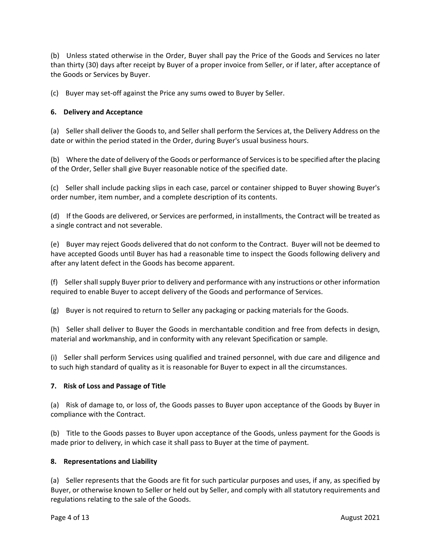(b) Unless stated otherwise in the Order, Buyer shall pay the Price of the Goods and Services no later than thirty (30) days after receipt by Buyer of a proper invoice from Seller, or if later, after acceptance of the Goods or Services by Buyer.

(c) Buyer may set‐off against the Price any sums owed to Buyer by Seller.

# **6. Delivery and Acceptance**

(a) Seller shall deliver the Goods to, and Seller shall perform the Services at, the Delivery Address on the date or within the period stated in the Order, during Buyer's usual business hours.

(b) Where the date of delivery of the Goods or performance of Servicesisto be specified after the placing of the Order, Seller shall give Buyer reasonable notice of the specified date.

(c) Seller shall include packing slips in each case, parcel or container shipped to Buyer showing Buyer's order number, item number, and a complete description of its contents.

(d) If the Goods are delivered, or Services are performed, in installments, the Contract will be treated as a single contract and not severable.

(e) Buyer may reject Goods delivered that do not conform to the Contract. Buyer will not be deemed to have accepted Goods until Buyer has had a reasonable time to inspect the Goods following delivery and after any latent defect in the Goods has become apparent.

(f) Sellershallsupply Buyer prior to delivery and performance with any instructions or other information required to enable Buyer to accept delivery of the Goods and performance of Services.

(g) Buyer is not required to return to Seller any packaging or packing materials for the Goods.

(h) Seller shall deliver to Buyer the Goods in merchantable condition and free from defects in design, material and workmanship, and in conformity with any relevant Specification or sample.

(i) Seller shall perform Services using qualified and trained personnel, with due care and diligence and to such high standard of quality as it is reasonable for Buyer to expect in all the circumstances.

# **7. Risk of Loss and Passage of Title**

(a) Risk of damage to, or loss of, the Goods passes to Buyer upon acceptance of the Goods by Buyer in compliance with the Contract.

(b) Title to the Goods passes to Buyer upon acceptance of the Goods, unless payment for the Goods is made prior to delivery, in which case it shall pass to Buyer at the time of payment.

# **8. Representations and Liability**

(a) Seller represents that the Goods are fit for such particular purposes and uses, if any, as specified by Buyer, or otherwise known to Seller or held out by Seller, and comply with all statutory requirements and regulations relating to the sale of the Goods.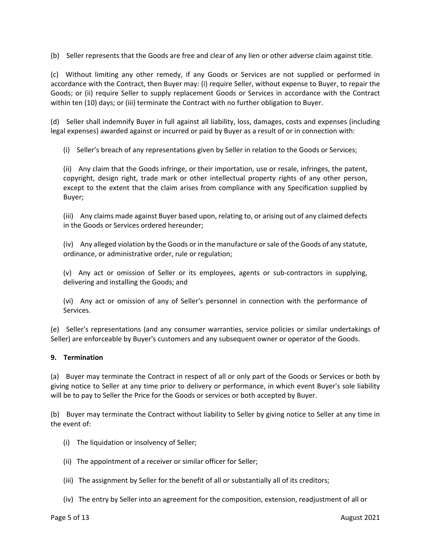(b) Seller represents that the Goods are free and clear of any lien or other adverse claim against title.

(c) Without limiting any other remedy, if any Goods or Services are not supplied or performed in accordance with the Contract, then Buyer may: (i) require Seller, without expense to Buyer, to repair the Goods; or (ii) require Seller to supply replacement Goods or Services in accordance with the Contract within ten (10) days; or (iii) terminate the Contract with no further obligation to Buyer.

(d) Seller shall indemnify Buyer in full against all liability, loss, damages, costs and expenses (including legal expenses) awarded against or incurred or paid by Buyer as a result of or in connection with:

(i) Seller's breach of any representations given by Seller in relation to the Goods or Services;

(ii) Any claim that the Goods infringe, or their importation, use or resale, infringes, the patent, copyright, design right, trade mark or other intellectual property rights of any other person, except to the extent that the claim arises from compliance with any Specification supplied by Buyer;

(iii) Any claims made against Buyer based upon, relating to, or arising out of any claimed defects in the Goods or Services ordered hereunder;

(iv) Any alleged violation by the Goods or in the manufacture orsale of the Goods of any statute, ordinance, or administrative order, rule or regulation;

(v) Any act or omission of Seller or its employees, agents or sub‐contractors in supplying, delivering and installing the Goods; and

(vi) Any act or omission of any of Seller's personnel in connection with the performance of Services.

(e) Seller's representations (and any consumer warranties, service policies or similar undertakings of Seller) are enforceable by Buyer's customers and any subsequent owner or operator of the Goods.

# **9. Termination**

(a) Buyer may terminate the Contract in respect of all or only part of the Goods or Services or both by giving notice to Seller at any time prior to delivery or performance, in which event Buyer's sole liability will be to pay to Seller the Price for the Goods or services or both accepted by Buyer.

(b) Buyer may terminate the Contract without liability to Seller by giving notice to Seller at any time in the event of:

- (i) The liquidation or insolvency of Seller;
- (ii) The appointment of a receiver or similar officer for Seller;
- (iii) The assignment by Seller for the benefit of all or substantially all of its creditors;
- (iv) The entry by Seller into an agreement for the composition, extension, readjustment of all or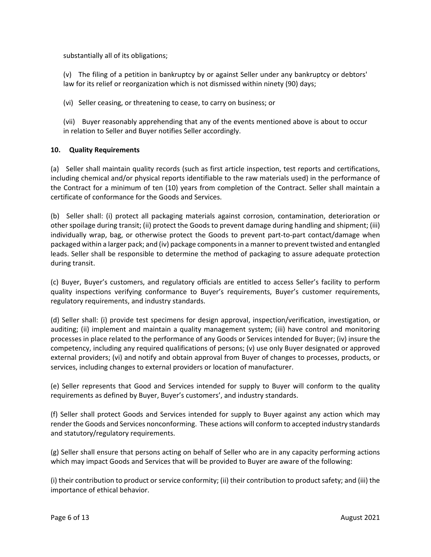substantially all of its obligations;

(v) The filing of a petition in bankruptcy by or against Seller under any bankruptcy or debtors' law for its relief or reorganization which is not dismissed within ninety (90) days;

(vi) Seller ceasing, or threatening to cease, to carry on business; or

(vii) Buyer reasonably apprehending that any of the events mentioned above is about to occur in relation to Seller and Buyer notifies Seller accordingly.

# **10. Quality Requirements**

(a) Seller shall maintain quality records (such as first article inspection, test reports and certifications, including chemical and/or physical reports identifiable to the raw materials used) in the performance of the Contract for a minimum of ten (10) years from completion of the Contract. Seller shall maintain a certificate of conformance for the Goods and Services.

(b) Seller shall: (i) protect all packaging materials against corrosion, contamination, deterioration or other spoilage during transit; (ii) protect the Goods to prevent damage during handling and shipment; (iii) individually wrap, bag, or otherwise protect the Goods to prevent part‐to‐part contact/damage when packaged within a larger pack; and (iv) package componentsin a manner to prevent twisted and entangled leads. Seller shall be responsible to determine the method of packaging to assure adequate protection during transit.

(c) Buyer, Buyer's customers, and regulatory officials are entitled to access Seller's facility to perform quality inspections verifying conformance to Buyer's requirements, Buyer's customer requirements, regulatory requirements, and industry standards.

(d) Seller shall: (i) provide test specimens for design approval, inspection/verification, investigation, or auditing; (ii) implement and maintain a quality management system; (iii) have control and monitoring processes in place related to the performance of any Goods or Services intended for Buyer; (iv) insure the competency, including any required qualifications of persons; (v) use only Buyer designated or approved external providers; (vi) and notify and obtain approval from Buyer of changes to processes, products, or services, including changes to external providers or location of manufacturer.

(e) Seller represents that Good and Services intended for supply to Buyer will conform to the quality requirements as defined by Buyer, Buyer's customers', and industry standards.

(f) Seller shall protect Goods and Services intended for supply to Buyer against any action which may render the Goods and Services nonconforming. These actions will conform to accepted industry standards and statutory/regulatory requirements.

(g) Seller shall ensure that persons acting on behalf of Seller who are in any capacity performing actions which may impact Goods and Services that will be provided to Buyer are aware of the following:

(i) their contribution to product or service conformity; (ii) their contribution to product safety; and (iii) the importance of ethical behavior.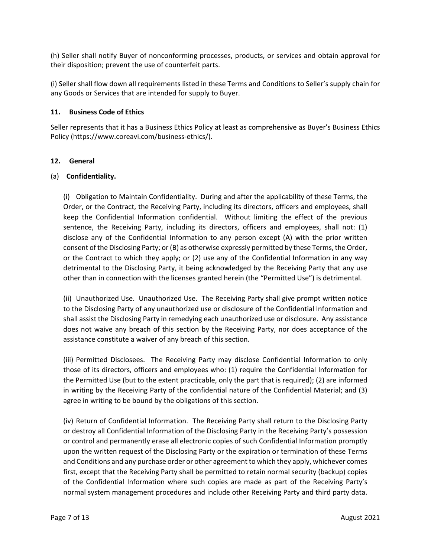(h) Seller shall notify Buyer of nonconforming processes, products, or services and obtain approval for their disposition; prevent the use of counterfeit parts.

(i) Seller shall flow down all requirements listed in these Terms and Conditions to Seller's supply chain for any Goods or Services that are intended for supply to Buyer.

# **11. Business Code of Ethics**

Seller represents that it has a Business Ethics Policy at least as comprehensive as Buyer's Business Ethics Policy (https://www.coreavi.com/business‐ethics/).

# **12. General**

# (a) **Confidentiality.**

(i) Obligation to Maintain Confidentiality. During and after the applicability of these Terms, the Order, or the Contract, the Receiving Party, including its directors, officers and employees, shall keep the Confidential Information confidential. Without limiting the effect of the previous sentence, the Receiving Party, including its directors, officers and employees, shall not: (1) disclose any of the Confidential Information to any person except (A) with the prior written consent of the Disclosing Party; or (B) as otherwise expressly permitted by these Terms, the Order, or the Contract to which they apply; or (2) use any of the Confidential Information in any way detrimental to the Disclosing Party, it being acknowledged by the Receiving Party that any use other than in connection with the licenses granted herein (the "Permitted Use") is detrimental.

(ii) Unauthorized Use. Unauthorized Use. The Receiving Party shall give prompt written notice to the Disclosing Party of any unauthorized use or disclosure of the Confidential Information and shall assist the Disclosing Party in remedying each unauthorized use or disclosure. Any assistance does not waive any breach of this section by the Receiving Party, nor does acceptance of the assistance constitute a waiver of any breach of this section.

(iii) Permitted Disclosees. The Receiving Party may disclose Confidential Information to only those of its directors, officers and employees who: (1) require the Confidential Information for the Permitted Use (but to the extent practicable, only the part that is required); (2) are informed in writing by the Receiving Party of the confidential nature of the Confidential Material; and (3) agree in writing to be bound by the obligations of this section.

(iv) Return of Confidential Information. The Receiving Party shall return to the Disclosing Party or destroy all Confidential Information of the Disclosing Party in the Receiving Party's possession or control and permanently erase all electronic copies of such Confidential Information promptly upon the written request of the Disclosing Party or the expiration or termination of these Terms and Conditions and any purchase order or other agreement to which they apply, whichever comes first, except that the Receiving Party shall be permitted to retain normal security (backup) copies of the Confidential Information where such copies are made as part of the Receiving Party's normal system management procedures and include other Receiving Party and third party data.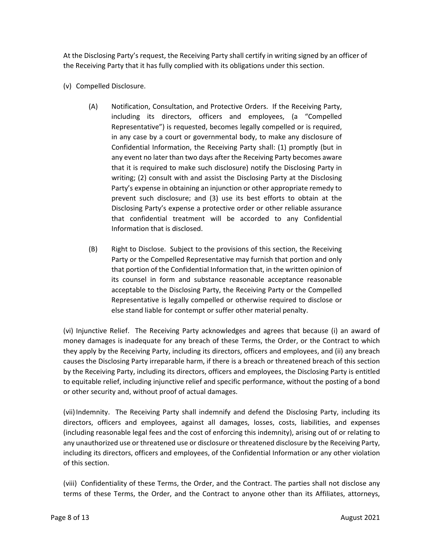At the Disclosing Party's request, the Receiving Party shall certify in writing signed by an officer of the Receiving Party that it has fully complied with its obligations under this section.

- (v) Compelled Disclosure.
	- (A) Notification, Consultation, and Protective Orders. If the Receiving Party, including its directors, officers and employees, (a "Compelled Representative") is requested, becomes legally compelled or is required, in any case by a court or governmental body, to make any disclosure of Confidential Information, the Receiving Party shall: (1) promptly (but in any event no later than two days after the Receiving Party becomes aware that it is required to make such disclosure) notify the Disclosing Party in writing; (2) consult with and assist the Disclosing Party at the Disclosing Party's expense in obtaining an injunction or other appropriate remedy to prevent such disclosure; and (3) use its best efforts to obtain at the Disclosing Party's expense a protective order or other reliable assurance that confidential treatment will be accorded to any Confidential Information that is disclosed.
	- (B) Right to Disclose. Subject to the provisions of this section, the Receiving Party or the Compelled Representative may furnish that portion and only that portion of the Confidential Information that, in the written opinion of its counsel in form and substance reasonable acceptance reasonable acceptable to the Disclosing Party, the Receiving Party or the Compelled Representative is legally compelled or otherwise required to disclose or else stand liable for contempt or suffer other material penalty.

(vi) Injunctive Relief. The Receiving Party acknowledges and agrees that because (i) an award of money damages is inadequate for any breach of these Terms, the Order, or the Contract to which they apply by the Receiving Party, including its directors, officers and employees, and (ii) any breach causes the Disclosing Party irreparable harm, if there is a breach or threatened breach of this section by the Receiving Party, including its directors, officers and employees, the Disclosing Party is entitled to equitable relief, including injunctive relief and specific performance, without the posting of a bond or other security and, without proof of actual damages.

(vii)Indemnity. The Receiving Party shall indemnify and defend the Disclosing Party, including its directors, officers and employees, against all damages, losses, costs, liabilities, and expenses (including reasonable legal fees and the cost of enforcing this indemnity), arising out of or relating to any unauthorized use or threatened use or disclosure or threatened disclosure by the Receiving Party, including its directors, officers and employees, of the Confidential Information or any other violation of this section.

(viii) Confidentiality of these Terms, the Order, and the Contract. The parties shall not disclose any terms of these Terms, the Order, and the Contract to anyone other than its Affiliates, attorneys,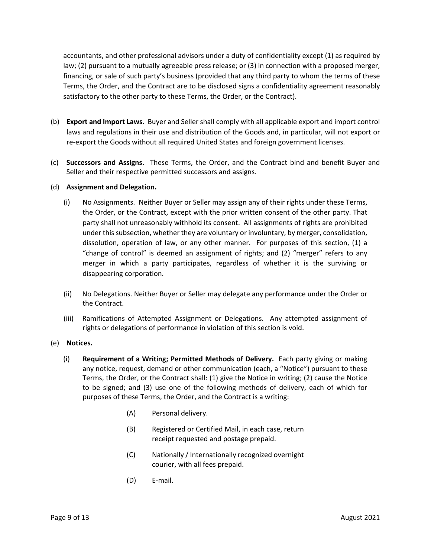accountants, and other professional advisors under a duty of confidentiality except (1) as required by law; (2) pursuant to a mutually agreeable press release; or (3) in connection with a proposed merger, financing, or sale of such party's business (provided that any third party to whom the terms of these Terms, the Order, and the Contract are to be disclosed signs a confidentiality agreement reasonably satisfactory to the other party to these Terms, the Order, or the Contract).

- (b) **Export and Import Laws**. Buyer and Seller shall comply with all applicable export and import control laws and regulations in their use and distribution of the Goods and, in particular, will not export or re-export the Goods without all required United States and foreign government licenses.
- (c) **Successors and Assigns.** These Terms, the Order, and the Contract bind and benefit Buyer and Seller and their respective permitted successors and assigns.

# (d) **Assignment and Delegation.**

- (i) No Assignments. Neither Buyer or Seller may assign any of their rights under these Terms, the Order, or the Contract, except with the prior written consent of the other party. That party shall not unreasonably withhold its consent. All assignments of rights are prohibited under thissubsection, whether they are voluntary or involuntary, by merger, consolidation, dissolution, operation of law, or any other manner. For purposes of this section, (1) a "change of control" is deemed an assignment of rights; and (2) "merger" refers to any merger in which a party participates, regardless of whether it is the surviving or disappearing corporation.
- (ii) No Delegations. Neither Buyer or Seller may delegate any performance under the Order or the Contract.
- (iii) Ramifications of Attempted Assignment or Delegations. Any attempted assignment of rights or delegations of performance in violation of this section is void.

# (e) **Notices.**

- (i) **Requirement of a Writing; Permitted Methods of Delivery.** Each party giving or making any notice, request, demand or other communication (each, a "Notice") pursuant to these Terms, the Order, or the Contract shall: (1) give the Notice in writing; (2) cause the Notice to be signed; and (3) use one of the following methods of delivery, each of which for purposes of these Terms, the Order, and the Contract is a writing:
	- (A) Personal delivery.
	- (B) Registered or Certified Mail, in each case, return receipt requested and postage prepaid.
	- (C) Nationally / Internationally recognized overnight courier, with all fees prepaid.
	- (D) E‐mail.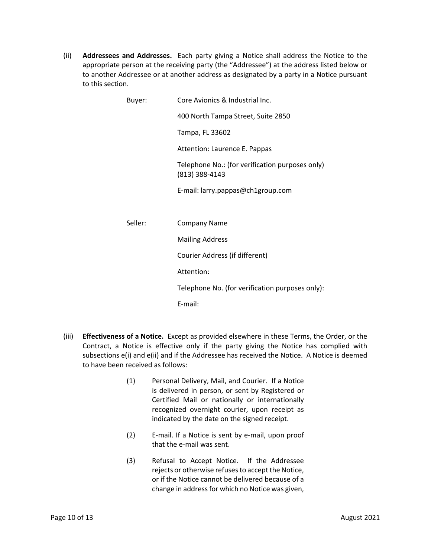(ii) **Addressees and Addresses.** Each party giving a Notice shall address the Notice to the appropriate person at the receiving party (the "Addressee") at the address listed below or to another Addressee or at another address as designated by a party in a Notice pursuant to this section.

| Buyer:  | Core Avionics & Industrial Inc.                                   |
|---------|-------------------------------------------------------------------|
|         | 400 North Tampa Street, Suite 2850                                |
|         | Tampa, FL 33602                                                   |
|         | Attention: Laurence E. Pappas                                     |
|         | Telephone No.: (for verification purposes only)<br>(813) 388-4143 |
|         | E-mail: larry.pappas@ch1group.com                                 |
|         |                                                                   |
| Seller: | <b>Company Name</b>                                               |
|         | <b>Mailing Address</b>                                            |
|         | Courier Address (if different)                                    |
|         | Attention:                                                        |
|         | Telephone No. (for verification purposes only):                   |
|         | E-mail:                                                           |

- (iii) **Effectiveness of a Notice.** Except as provided elsewhere in these Terms, the Order, or the Contract, a Notice is effective only if the party giving the Notice has complied with subsections e(i) and e(ii) and if the Addressee has received the Notice. A Notice is deemed to have been received as follows:
	- (1) Personal Delivery, Mail, and Courier. If a Notice is delivered in person, or sent by Registered or Certified Mail or nationally or internationally recognized overnight courier, upon receipt as indicated by the date on the signed receipt.
	- (2) E‐mail. If a Notice is sent by e‐mail, upon proof that the e‐mail was sent.
	- (3) Refusal to Accept Notice. If the Addressee rejects or otherwise refuses to accept the Notice. or if the Notice cannot be delivered because of a change in address for which no Notice was given,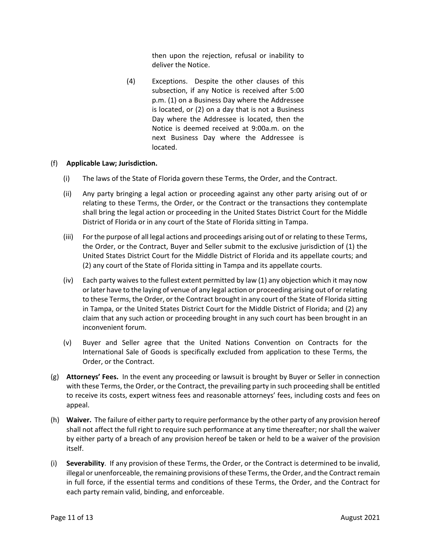then upon the rejection, refusal or inability to deliver the Notice.

(4) Exceptions. Despite the other clauses of this subsection, if any Notice is received after 5:00 p.m. (1) on a Business Day where the Addressee is located, or (2) on a day that is not a Business Day where the Addressee is located, then the Notice is deemed received at 9:00a.m. on the next Business Day where the Addressee is located.

#### (f) **Applicable Law; Jurisdiction.**

- (i) The laws of the State of Florida govern these Terms, the Order, and the Contract.
- (ii) Any party bringing a legal action or proceeding against any other party arising out of or relating to these Terms, the Order, or the Contract or the transactions they contemplate shall bring the legal action or proceeding in the United States District Court for the Middle District of Florida or in any court of the State of Florida sitting in Tampa.
- (iii) For the purpose of all legal actions and proceedings arising out of or relating to these Terms, the Order, or the Contract, Buyer and Seller submit to the exclusive jurisdiction of (1) the United States District Court for the Middle District of Florida and its appellate courts; and (2) any court of the State of Florida sitting in Tampa and its appellate courts.
- (iv) Each party waives to the fullest extent permitted by law (1) any objection which it may now orlater have to the laying of venue of any legal action or proceeding arising out of orrelating to these Terms, the Order, or the Contract brought in any court of the State of Florida sitting in Tampa, or the United States District Court for the Middle District of Florida; and (2) any claim that any such action or proceeding brought in any such court has been brought in an inconvenient forum.
- (v) Buyer and Seller agree that the United Nations Convention on Contracts for the International Sale of Goods is specifically excluded from application to these Terms, the Order, or the Contract.
- (g) **Attorneys' Fees.** In the event any proceeding or lawsuit is brought by Buyer or Seller in connection with these Terms, the Order, or the Contract, the prevailing party in such proceeding shall be entitled to receive its costs, expert witness fees and reasonable attorneys' fees, including costs and fees on appeal.
- (h) **Waiver.** The failure of either party to require performance by the other party of any provision hereof shall not affect the full right to require such performance at any time thereafter; nor shall the waiver by either party of a breach of any provision hereof be taken or held to be a waiver of the provision itself.
- (i) **Severability**. If any provision of these Terms, the Order, or the Contract is determined to be invalid, illegal or unenforceable, the remaining provisions of these Terms, the Order, and the Contract remain in full force, if the essential terms and conditions of these Terms, the Order, and the Contract for each party remain valid, binding, and enforceable.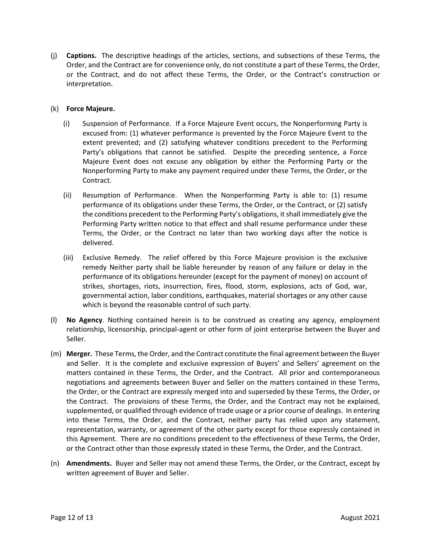(j) **Captions.** The descriptive headings of the articles, sections, and subsections of these Terms, the Order, and the Contract are for convenience only, do not constitute a part of these Terms, the Order, or the Contract, and do not affect these Terms, the Order, or the Contract's construction or interpretation.

#### (k) **Force Majeure.**

- (i) Suspension of Performance. If a Force Majeure Event occurs, the Nonperforming Party is excused from: (1) whatever performance is prevented by the Force Majeure Event to the extent prevented; and (2) satisfying whatever conditions precedent to the Performing Party's obligations that cannot be satisfied. Despite the preceding sentence, a Force Majeure Event does not excuse any obligation by either the Performing Party or the Nonperforming Party to make any payment required under these Terms, the Order, or the Contract.
- (ii) Resumption of Performance. When the Nonperforming Party is able to: (1) resume performance of its obligations under these Terms, the Order, or the Contract, or (2) satisfy the conditions precedent to the Performing Party's obligations, itshall immediately give the Performing Party written notice to that effect and shall resume performance under these Terms, the Order, or the Contract no later than two working days after the notice is delivered.
- (iii) Exclusive Remedy. The relief offered by this Force Majeure provision is the exclusive remedy Neither party shall be liable hereunder by reason of any failure or delay in the performance of its obligations hereunder (except for the payment of money) on account of strikes, shortages, riots, insurrection, fires, flood, storm, explosions, acts of God, war, governmental action, labor conditions, earthquakes, material shortages or any other cause which is beyond the reasonable control of such party.
- (l) **No Agency**. Nothing contained herein is to be construed as creating any agency, employment relationship, licensorship, principal‐agent or other form of joint enterprise between the Buyer and Seller.
- (m) **Merger.** These Terms, the Order, and the Contract constitute the final agreement between the Buyer and Seller. It is the complete and exclusive expression of Buyers' and Sellers' agreement on the matters contained in these Terms, the Order, and the Contract. All prior and contemporaneous negotiations and agreements between Buyer and Seller on the matters contained in these Terms, the Order, or the Contract are expressly merged into and superseded by these Terms, the Order, or the Contract. The provisions of these Terms, the Order, and the Contract may not be explained, supplemented, or qualified through evidence of trade usage or a prior course of dealings. In entering into these Terms, the Order, and the Contract, neither party has relied upon any statement, representation, warranty, or agreement of the other party except for those expressly contained in this Agreement. There are no conditions precedent to the effectiveness of these Terms, the Order, or the Contract other than those expressly stated in these Terms, the Order, and the Contract.
- (n) **Amendments.** Buyer and Seller may not amend these Terms, the Order, or the Contract, except by written agreement of Buyer and Seller.